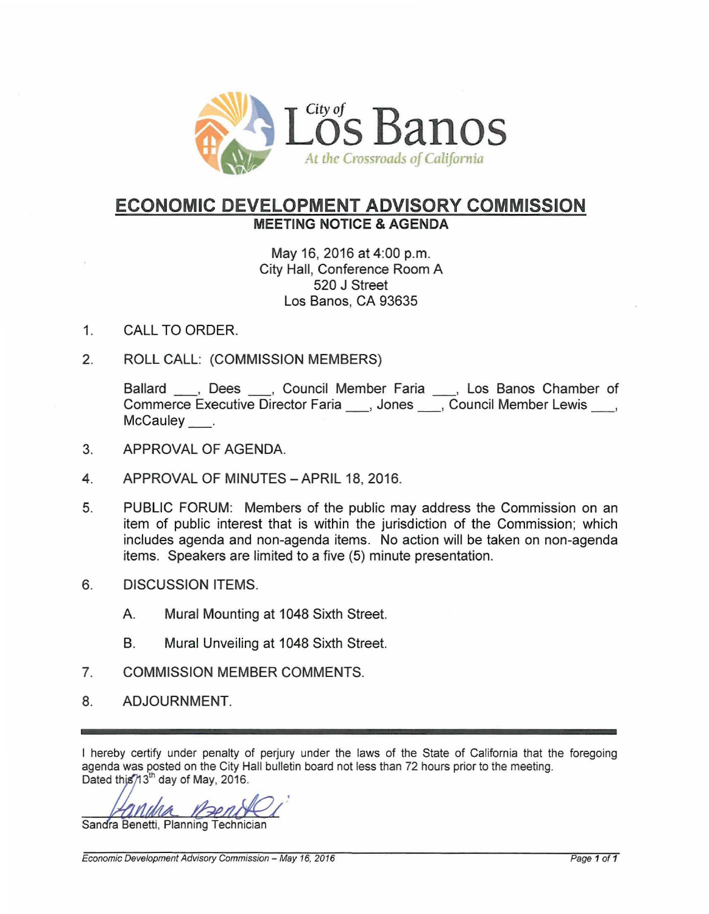

# **ECONOMIC DEVELOPMENT ADVISORY COMMISSION MEETING NOTICE &AGENDA**

# May 16, 2016 at 4:00 p.m. City Hall, Conference Room A 520 J Street Los Banos, CA 93635

- 1. CALL TO ORDER.
- 2. ROLL CALL: (COMMISSION MEMBERS)

Ballard , Dees , Council Member Faria , Los Banos Chamber of Commerce Executive Director Faria \_\_\_, Jones \_\_\_, Council Member Lewis \_\_\_, McCauley .

- 3. APPROVAL OF AGENDA.
- 4. APPROVAL OF MINUTES APRIL 18, 2016.
- 5. PUBLIC FORUM: Members of the public may address the Commission on an item of public interest that is within the jurisdiction of the Commission; which includes agenda and non-agenda items. No action will be taken on non-agenda items. Speakers are limited to a five (5) minute presentation.
- 6. DISCUSSION ITEMS.
	- A. Mural Mounting at 1048 Sixth Street.
	- B. Mural Unveiling at 1048 Sixth Street.
- 7. COMMISSION MEMBER COMMENTS.
- 8. ADJOURNMENT.

I hereby certify under penalty of perjury under the laws of the State of California that the foregoing agenda was posted on the City Hall bulletin board not less than 72 hours prior to the meeting. Dated this  $/13^{th}$  day of May, 2016.

Sandra Benetti, Planning Technician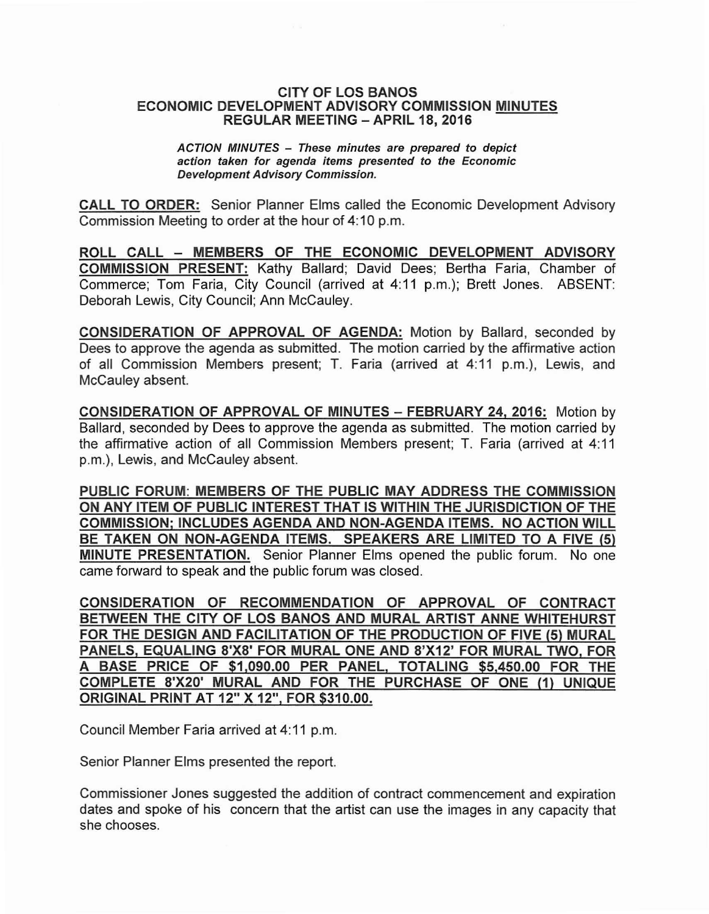#### CITY OF LOS BANOS ECONOMIC DEVELOPMENT ADVISORY COMMISSION MINUTES REGULAR MEETING - APRIL 18, 2016

ACTION MINUTES - These minutes are prepared to depict action taken for agenda items presented to the Economic Development Advisory Commission.

CALL TO ORDER: Senior Planner Elms called the Economic Development Advisory Commission Meeting to order at the hour of 4:10 p.m.

ROLL CALL - MEMBERS OF THE ECONOMIC DEVELOPMENT ADVISORY COMMISSION PRESENT: Kathy Ballard; David Dees; Bertha Faria, Chamber of Commerce; Tom Faria, City Council (arrived at 4:11 p.m.); Brett Jones. ABSENT: Deborah Lewis, City Council; Ann McCauley.

CONSIDERATION OF APPROVAL OF AGENDA: Motion by Ballard, seconded by Dees to approve the agenda as submitted. The motion carried by the affirmative action of all Commission Members present; T. Faria (arrived at 4:11 p.m.), Lewis, and McCauley absent.

CONSIDERATION OF APPROVAL OF MINUTES - FEBRUARY 24, 2016: Motion by Ballard, seconded by Dees to approve the agenda as submitted. The motion carried by the affirmative action of all Commission Members present; T. Faria (arrived at 4:11 p.m.), Lewis, and McCauley absent.

PUBLIC FORUM: MEMBERS OF THE PUBLIC MAY ADDRESS THE COMMISSION ON ANY ITEM OF PUBLIC INTEREST THAT IS WITHIN THE JURISDICTION OF THE COMMISSION; INCLUDES AGENDA AND NON-AGENDA ITEMS. NO ACTION WILL BE TAKEN ON NON-AGENDA ITEMS. SPEAKERS ARE LIMITED TO A FIVE (5) MINUTE PRESENTATION. Senior Planner Elms opened the public forum. No one came forward to speak and the public forum was closed.

CONSIDERATION OF RECOMMENDATION OF APPROVAL OF CONTRACT BETWEEN THE CITY OF LOS BANOS AND MURAL ARTIST ANNE WHITEHURST FOR THE DESIGN AND FACILITATION OF THE PRODUCTION OF FIVE (5) MURAL PANELS, EQUALING 8'X8' FOR MURAL ONE AND 8'X12' FOR MURAL TWO, FOR A BASE PRICE OF \$1,090.00 PER PANEL, TOTALING \$5,450.00 FOR THE COMPLETE 8'X20' MURAL AND FOR THE PURCHASE OF ONE (1) UNIQUE ORIGINAL PRINT AT 12" X 12", FOR \$310.00.

Council Member Faria arrived at 4:11 p.m.

Senior Planner Elms presented the report.

Commissioner Jones suggested the addition of contract commencement and expiration dates and spoke of his concern that the artist can use the images in any capacity that she chooses.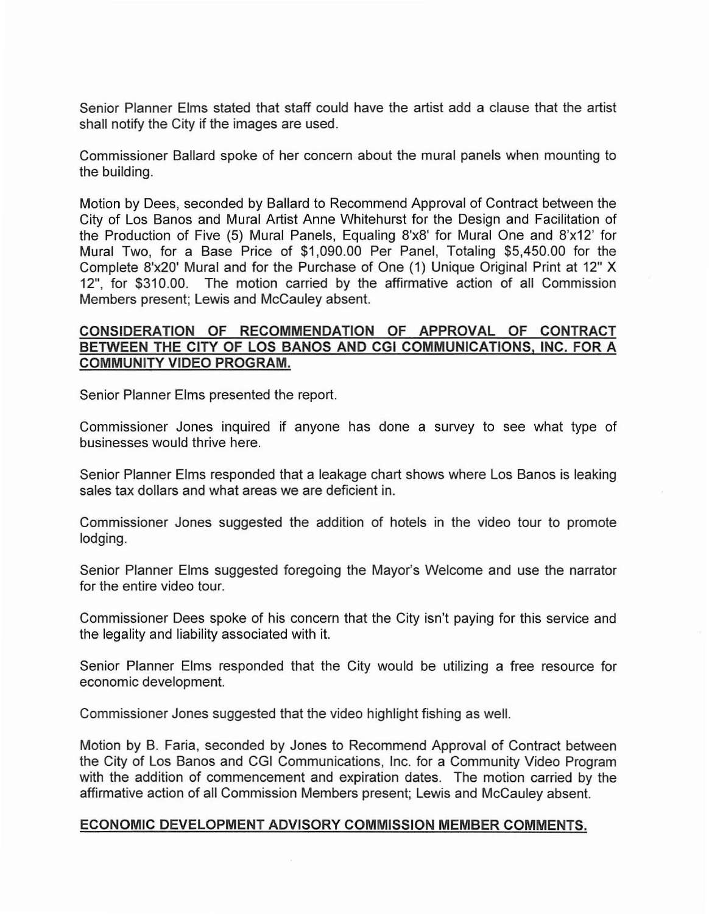Senior Planner Elms stated that staff could have the artist add a clause that the artist shall notify the City if the images are used.

Commissioner Ballard spoke of her concern about the mural panels when mounting to the building.

Motion by Dees, seconded by Ballard to Recommend Approval of Contract between the City of Los Banos and Mural Artist Anne Whitehurst for the Design and Facilitation of the Production of Five (5) Mural Panels, Equaling 8'x8' for Mural One and 8'x12' for Mural Two, for a Base Price of \$1,090.00 Per Panel, Totaling \$5,450.00 for the Complete 8'x20' Mural and for the Purchase of One (1) Unique Original Print at 12" X 12", for \$310.00. The motion carried by the affirmative action of all Commission Members present; Lewis and McCauley absent.

## **CONSIDERATION OF RECOMMENDATION OF APPROVAL OF CONTRACT BETWEEN THE CITY OF LOS BANOS AND CGI COMMUNICATIONS, INC. FOR A COMMUNITY VIDEO PROGRAM.**

Senior Planner Elms presented the report.

Commissioner Jones inquired if anyone has done a survey to see what type of businesses would thrive here.

Senior Planner Elms responded that a leakage chart shows where Los Banos is leaking sales tax dollars and what areas we are deficient in.

Commissioner Jones suggested the addition of hotels in the video tour to promote lodging.

Senior Planner Elms suggested foregoing the Mayor's Welcome and use the narrator for the entire video tour.

Commissioner Dees spoke of his concern that the City isn't paying for this service and the legality and liability associated with it.

Senior Planner Elms responded that the City would be utilizing a free resource for economic development.

Commissioner Jones suggested that the video highlight fishing as well.

Motion by B. Faria, seconded by Jones to Recommend Approval of Contract between the City of Los Banos and CGI Communications, Inc. for a Community Video Program with the addition of commencement and expiration dates. The motion carried by the affirmative action of all Commission Members present; Lewis and McCauley absent.

### **ECONOMIC DEVELOPMENT ADVISORY COMMISSION MEMBER COMMENTS.**